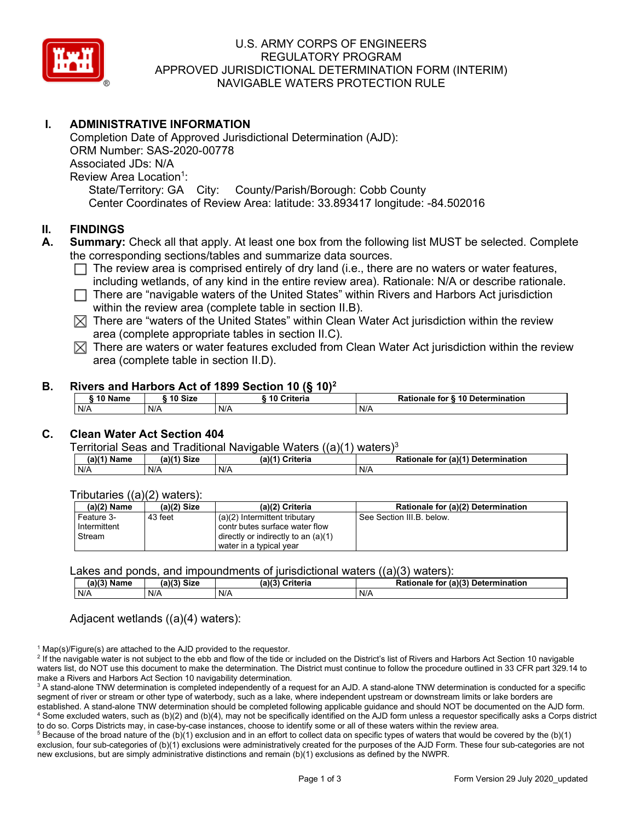

# U.S. ARMY CORPS OF ENGINEERS REGULATORY PROGRAM APPROVED JURISDICTIONAL DETERMINATION FORM (INTERIM) NAVIGABLE WATERS PROTECTION RULE

# **I. ADMINISTRATIVE INFORMATION**

Completion Date of Approved Jurisdictional Determination (AJD): ORM Number: SAS-2020-00778 Associated JDs: N/A Review Area Location<sup>1</sup>: State/Territory: GA City: County/Parish/Borough: Cobb County Center Coordinates of Review Area: latitude: 33.893417 longitude: -84.502016

## **II. FINDINGS**

- **A. Summary:** Check all that apply. At least one box from the following list MUST be selected. Complete the corresponding sections/tables and summarize data sources.
	- $\Box$  The review area is comprised entirely of dry land (i.e., there are no waters or water features, including wetlands, of any kind in the entire review area). Rationale: N/A or describe rationale.
	- $\Box$  There are "navigable waters of the United States" within Rivers and Harbors Act jurisdiction within the review area (complete table in section II.B).
	- $\boxtimes$  There are "waters of the United States" within Clean Water Act jurisdiction within the review area (complete appropriate tables in section II.C).
	- $\boxtimes$  There are waters or water features excluded from Clean Water Act jurisdiction within the review area (complete table in section II.D).

### **B. Rivers and Harbors Act of 1899 Section 10 (§ 10)2**

| <sup>s</sup> 10 Name | ີ 10 Size | 10 Criteria | Rationale for § 10 Determination |
|----------------------|-----------|-------------|----------------------------------|
| N/A                  | N/A       | N/A         | N/A                              |

# **C. Clean Water Act Section 404**

#### Territorial Seas and Traditional Navigable Waters  $((a)(1)$  waters)<sup>3</sup>

| Name | (a)(4)<br><b>Size</b> | (a)( <sup>4)</sup><br>Criteria | (a)(1) Determination<br><b>Rationale</b><br>tor |
|------|-----------------------|--------------------------------|-------------------------------------------------|
| N/A  | N/A                   | N/f                            | N/A                                             |

### Tributaries ((a)(2) waters):

| $(a)(2)$ Name | (a)(2) Size | (a)(2) Criteria                       | Rationale for (a)(2) Determination |
|---------------|-------------|---------------------------------------|------------------------------------|
| Feature 3-    | 43 feet     | $(a)(2)$ Intermittent tributary       | See Section III.B. below.          |
| Intermittent  |             | contr butes surface water flow        |                                    |
| Stream        |             | directly or indirectly to an $(a)(1)$ |                                    |
|               |             | water in a typical year               |                                    |

#### Lakes and ponds, and impoundments of jurisdictional waters  $((a)(3)$  waters):

| (a)(3) Name | (a)(3) Size | (a)(3) Criteria | Rationale for (a)(3) Determination |
|-------------|-------------|-----------------|------------------------------------|
| N/A         | N/A         | N/A             | N/A                                |

### Adjacent wetlands ((a)(4) waters):

 $1$  Map(s)/Figure(s) are attached to the AJD provided to the requestor.

<sup>2</sup> If the navigable water is not subject to the ebb and flow of the tide or included on the District's list of Rivers and Harbors Act Section 10 navigable waters list, do NOT use this document to make the determination. The District must continue to follow the procedure outlined in 33 CFR part 329.14 to make a Rivers and Harbors Act Section 10 navigability determination.

<sup>3</sup> A stand-alone TNW determination is completed independently of a request for an AJD. A stand-alone TNW determination is conducted for a specific segment of river or stream or other type of waterbody, such as a lake, where independent upstream or downstream limits or lake borders are established. A stand-alone TNW determination should be completed following applicable guidance and should NOT be documented on the AJD form. <sup>4</sup> Some excluded waters, such as (b)(2) and (b)(4), may not be specifically identified on the AJD form unless a requestor specifically asks a Corps district to do so. Corps Districts may, in case-by-case instances, choose to identify some or all of these waters within the review area.

 $5$  Because of the broad nature of the (b)(1) exclusion and in an effort to collect data on specific types of waters that would be covered by the (b)(1) exclusion, four sub-categories of (b)(1) exclusions were administratively created for the purposes of the AJD Form. These four sub-categories are not new exclusions, but are simply administrative distinctions and remain (b)(1) exclusions as defined by the NWPR.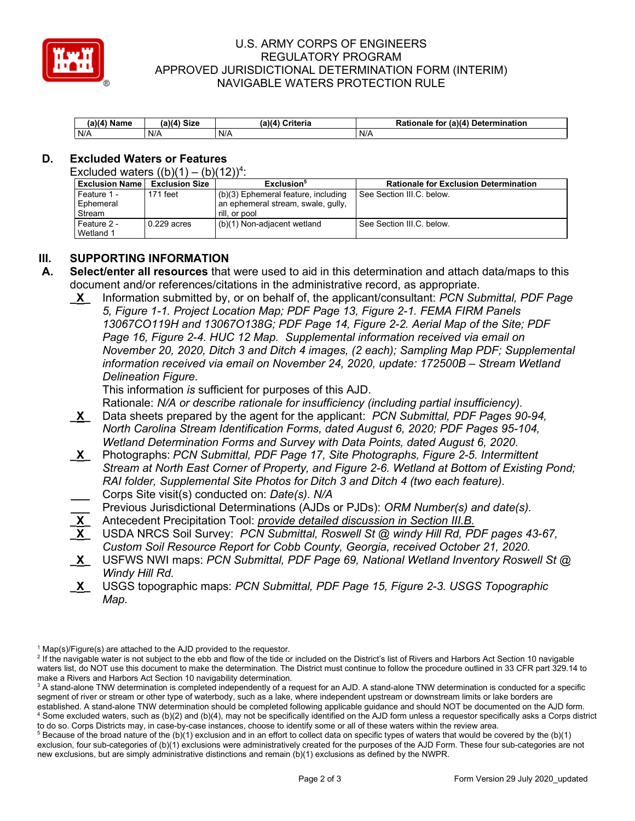

## U.S. ARMY CORPS OF ENGINEERS REGULATORY PROGRAM APPROVED JURISDICTIONAL DETERMINATION FORM (INTERIM) NAVIGABLE WATERS PROTECTION RULE

| Name<br>.a)(4 | <b>Y4) Size</b> | <b>Criteria</b><br>$a\lambda d'$ | (a)(4)<br>mination <sup>.</sup><br>to<br>Deter<br>naie |
|---------------|-----------------|----------------------------------|--------------------------------------------------------|
| N/A           | N/A             | N/A                              | N/A                                                    |

# **D. Excluded Waters or Features**

Excluded waters  $((b)(1) - (b)(12))^4$ :

| l Exclusion Name ∣ | <b>Exclusion Size</b> | Exclusion <sup>5</sup>              | <b>Rationale for Exclusion Determination</b> |
|--------------------|-----------------------|-------------------------------------|----------------------------------------------|
| l Feature 1 -      | 171 feet              | (b)(3) Ephemeral feature, including | See Section III.C. below.                    |
| Ephemeral          |                       | an ephemeral stream, swale, gully,  |                                              |
| Stream             |                       | rill, or pool                       |                                              |
| l Feature 2 -      | $0.229$ acres         | (b)(1) Non-adjacent wetland         | See Section III.C. below.                    |
| Wetland 1          |                       |                                     |                                              |

## **III. SUPPORTING INFORMATION**

- **A. Select/enter all resources** that were used to aid in this determination and attach data/maps to this document and/or references/citations in the administrative record, as appropriate.
	- **\_X\_** Information submitted by, or on behalf of, the applicant/consultant: *PCN Submittal, PDF Page 5, Figure 1-1. Project Location Map; PDF Page 13, Figure 2-1. FEMA FIRM Panels 13067CO119H and 13067O138G; PDF Page 14, Figure 2-2. Aerial Map of the Site; PDF Page 16, Figure 2-4. HUC 12 Map. Supplemental information received via email on November 20, 2020, Ditch 3 and Ditch 4 images, (2 each); Sampling Map PDF; Supplemental information received via email on November 24, 2020, update: 172500B – Stream Wetland Delineation Figure.*

This information *is* sufficient for purposes of this AJD.

Rationale: *N/A or describe rationale for insufficiency (including partial insufficiency).*

- **\_X\_** Data sheets prepared by the agent for the applicant: *PCN Submittal, PDF Pages 90-94, North Carolina Stream Identification Forms, dated August 6, 2020; PDF Pages 95-104, Wetland Determination Forms and Survey with Data Points, dated August 6, 2020.*
- **\_X\_** Photographs: *PCN Submittal, PDF Page 17, Site Photographs, Figure 2-5. Intermittent Stream at North East Corner of Property, and Figure 2-6. Wetland at Bottom of Existing Pond; RAI folder, Supplemental Site Photos for Ditch 3 and Ditch 4 (two each feature).* **\_\_\_** Corps Site visit(s) conducted on: *Date(s). N/A*
- **\_\_\_** Previous Jurisdictional Determinations (AJDs or PJDs): *ORM Number(s) and date(s).*
- **\_X\_** Antecedent Precipitation Tool: *provide detailed discussion in Section III.B.*
- **\_X\_** USDA NRCS Soil Survey: *PCN Submittal, Roswell St @ windy Hill Rd, PDF pages 43-67, Custom Soil Resource Report for Cobb County, Georgia, received October 21, 2020.*
- **\_X\_** USFWS NWI maps: *PCN Submittal, PDF Page 69, National Wetland Inventory Roswell St @ Windy Hill Rd.*
- **\_X\_** USGS topographic maps: *PCN Submittal, PDF Page 15, Figure 2-3. USGS Topographic Map.*

 $1$  Map(s)/Figure(s) are attached to the AJD provided to the requestor.

<sup>&</sup>lt;sup>2</sup> If the navigable water is not subject to the ebb and flow of the tide or included on the District's list of Rivers and Harbors Act Section 10 navigable waters list, do NOT use this document to make the determination. The District must continue to follow the procedure outlined in 33 CFR part 329.14 to make a Rivers and Harbors Act Section 10 navigability determination.

<sup>&</sup>lt;sup>3</sup> A stand-alone TNW determination is completed independently of a request for an AJD. A stand-alone TNW determination is conducted for a specific segment of river or stream or other type of waterbody, such as a lake, where independent upstream or downstream limits or lake borders are established. A stand-alone TNW determination should be completed following applicable guidance and should NOT be documented on the AJD form. <sup>4</sup> Some excluded waters, such as (b)(2) and (b)(4), may not be specifically identified on the AJD form unless a requestor specifically asks a Corps district

to do so. Corps Districts may, in case-by-case instances, choose to identify some or all of these waters within the review area.  $5$  Because of the broad nature of the (b)(1) exclusion and in an effort to collect data on specific types of waters that would be covered by the (b)(1) exclusion, four sub-categories of (b)(1) exclusions were administratively created for the purposes of the AJD Form. These four sub-categories are not new exclusions, but are simply administrative distinctions and remain (b)(1) exclusions as defined by the NWPR.